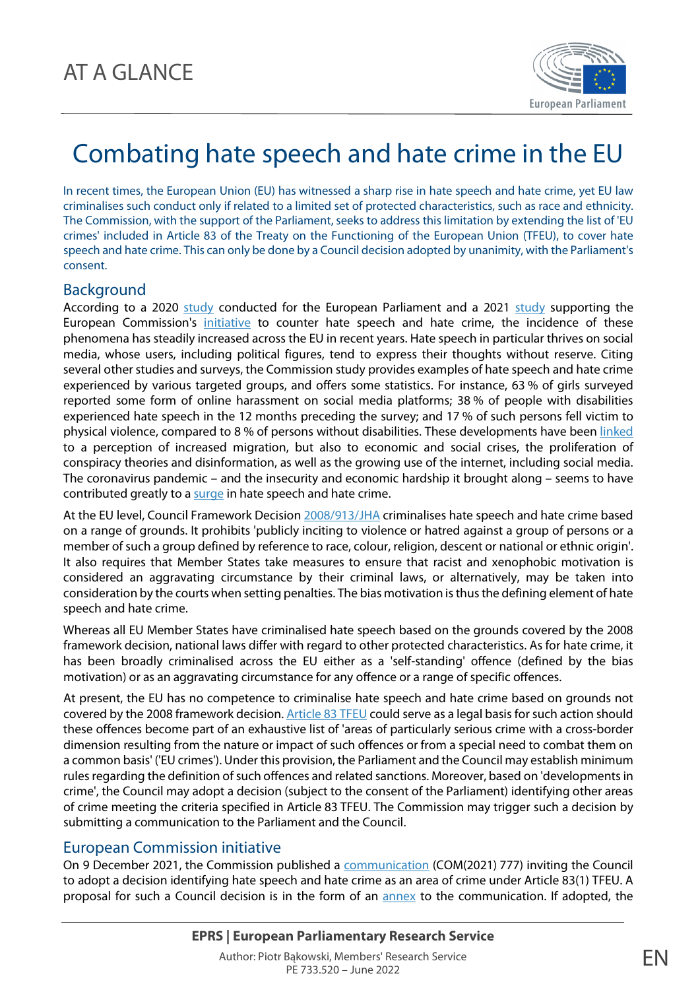

## Combating hate speech and hate crime in the EU

In recent times, the European Union (EU) has witnessed a sharp rise in hate speech and hate crime, yet EU law criminalises such conduct only if related to a limited set of protected characteristics, such as race and ethnicity. The Commission, with the support of the Parliament, seeks to address this limitation by extending the list of 'EU crimes' included in Article 83 of the Treaty on the Functioning of the European Union (TFEU), to cover hate speech and hate crime. This can only be done by a Council decision adopted by unanimity, with the Parliament's consent.

## Background

According to a 2020 [study](https://op.europa.eu/en/publication-detail/-/publication/f866de4e-57de-11ec-91ac-01aa75ed71a1/language-en) conducted for the European Parliament and a 2021 study supporting the European Commission's [initiative](https://eur-lex.europa.eu/legal-content/EN/ALL/?uri=COM:2021:777:FIN) to counter hate speech and hate crime, the incidence of these phenomena has steadily increased across the EU in recent years. Hate speech in particular thrives on social media, whose users, including political figures, tend to express their thoughts without reserve. Citing several other studies and surveys, the Commission study provides examples of hate speech and hate crime experienced by various targeted groups, and offers some statistics. For instance, 63 % of girls surveyed reported some form of online harassment on social media platforms; 38 % of people with disabilities experienced hate speech in the 12 months preceding the survey; and 17 % of such persons fell victim to physical violence, compared to 8 % of persons without disabilities. These developments have been [linked](https://op.europa.eu/en/publication-detail/-/publication/f866de4e-57de-11ec-91ac-01aa75ed71a1/language-en) to a perception of increased migration, but also to economic and social crises, the proliferation of conspiracy theories and disinformation, as well as the growing use of the internet, including social media. The coronavirus pandemic – and the insecurity and economic hardship it brought along – seems to have contributed greatly to [a surge](https://fra.europa.eu/en/publication/2021/coronavirus-pandemic-focus) in hate speech and hate crime.

At the EU level, Council Framework Decisio[n 2008/913/JHA](https://eur-lex.europa.eu/legal-content/EN/TXT/?uri=celex:32008F0913) criminalises hate speech and hate crime based on a range of grounds. It prohibits 'publicly inciting to violence or hatred against a group of persons or a member of such a group defined by reference to race, colour, religion, descent or national or ethnic origin'. It also requires that Member States take measures to ensure that racist and xenophobic motivation is considered an aggravating circumstance by their criminal laws, or alternatively, may be taken into consideration by the courts when setting penalties. The bias motivation is thus the defining element of hate speech and hate crime.

Whereas all EU Member States have criminalised hate speech based on the grounds covered by the 2008 framework decision, national laws differ with regard to other protected characteristics. As for hate crime, it has been broadly criminalised across the EU either as a 'self-standing' offence (defined by the bias motivation) or as an aggravating circumstance for any offence or a range of specific offences.

At present, the EU has no competence to criminalise hate speech and hate crime based on grounds not covered by the 2008 framework decision[. Article 83 TFEU](https://eur-lex.europa.eu/legal-content/EN/TXT/?uri=CELEX:12008E083) could serve as a legal basis for such action should these offences become part of an exhaustive list of 'areas of particularly serious crime with a cross-border dimension resulting from the nature or impact of such offences or from a special need to combat them on a common basis' ('EU crimes'). Under this provision, the Parliament and the Council may establish minimum rules regarding the definition of such offences and related sanctions. Moreover, based on 'developments in crime', the Council may adopt a decision (subject to the consent of the Parliament) identifying other areas of crime meeting the criteria specified in Article 83 TFEU. The Commission may trigger such a decision by submitting a communication to the Parliament and the Council.

## European Commission initiative

On 9 December 2021, the Commission published a [communication](https://eur-lex.europa.eu/legal-content/EN/ALL/?uri=COM:2021:777:FIN) (COM(2021) 777) inviting the Council to adopt a decision identifying hate speech and hate crime as an area of crime under Article 83(1) TFEU. A proposal for such a Council decision is in the form of an [annex](https://eur-lex.europa.eu/resource.html?uri=cellar:4d768741-58d3-11ec-91ac-01aa75ed71a1.0002.02/DOC_2&format=PDF) to the communication. If adopted, the